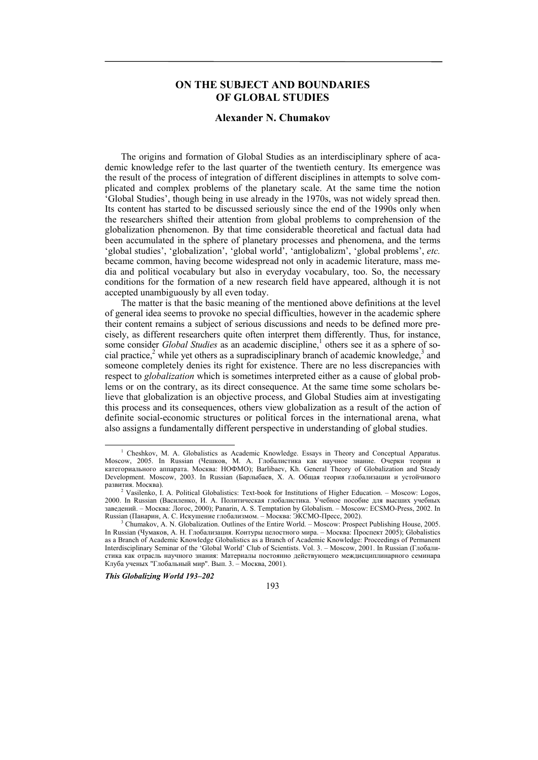# **ON THE SUBJECT AND BOUNDARIES OF GLOBAL STUDIES**

## **Alexander N. Chumakov**

The origins and formation of Global Studies as an interdisciplinary sphere of academic knowledge refer to the last quarter of the twentieth century. Its emergence was the result of the process of integration of different disciplines in attempts to solve complicated and complex problems of the planetary scale. At the same time the notion 'Global Studies', though being in use already in the 1970s, was not widely spread then. Its content has started to be discussed seriously since the end of the 1990s only when the researchers shifted their attention from global problems to comprehension of the globalization phenomenon. By that time considerable theoretical and factual data had been accumulated in the sphere of planetary processes and phenomena, and the terms 'global studies', 'globalization', 'global world', 'antiglobalizm', 'global problems', *etc.* became common, having become widespread not only in academic literature, mass media and political vocabulary but also in everyday vocabulary, too. So, the necessary conditions for the formation of a new research field have appeared, although it is not accepted unambiguously by all even today.

The matter is that the basic meaning of the mentioned above definitions at the level of general idea seems to provoke no special difficulties, however in the academic sphere their content remains a subject of serious discussions and needs to be defined more precisely, as different researchers quite often interpret them differently. Thus, for instance, some consider *Global Studies* as an academic discipline,<sup>1</sup> others see it as a sphere of social practice,<sup>2</sup> while yet others as a supradisciplinary branch of academic knowledge,<sup>3</sup> and someone completely denies its right for existence. There are no less discrepancies with respect to *globalization* which is sometimes interpreted either as a cause of global problems or on the contrary, as its direct consequence. At the same time some scholars believe that globalization is an objective process, and Global Studies aim at investigating this process and its consequences, others view globalization as a result of the action of definite social-economic structures or political forces in the international arena, what also assigns a fundamentally different perspective in understanding of global studies.

*This Globalizing World 193–202* 

193

 $\overline{1}$  $1$  Cheshkov, M. A. Globalistics as Academic Knowledge. Essays in Theory and Conceptual Apparatus. Мoscow, 2005. In Russian (Чешков, М. А. Глобалистика как научное знание. Очерки теории и категориального аппарата. Мoсква: НОФМО); Barlibaev, Kh. General Theory of Globalization and Steady Development. Мoscow, 2003. In Russian (Барлыбаев, Х. А. Общая теория глобализации и устойчивого развития. Москва). 2

Vasilenko, I. A. Political Globalistics: Text-book for Institutions of Higher Education. – Мoscow: Logos, 2000. In Russian (Василенко, И. А. Политическая глобалистика. Учебное пособие для высших учебных заведений. – Москва: Логос, 2000); Panarin, A. S. Temptation by Globalism. – Мoscow: ECSMO-Press, 2002. In Russian (Панарин, А. С. Искушение глобализмом. – Москва: ЭКСМО-Пресс, 2002). 3

Chumakov, A. N. Globalization. Outlines of the Entire World. – Мoscow: Prospect Publishing House, 2005. In Russian (Чумаков, А. Н. Глобализация. Контуры целостного мира. – Мoсква: Проспект 2005); Globalistics as a Branch of Academic Knowledge Globalistics as a Branch of Academic Knowledge: Proceedings of Permanent Interdisciplinary Seminar of the 'Global World' Club of Scientists. Vol. 3. – Мoscow, 2001. In Russian (Глобалистика как отрасль научного знания: Материалы постоянно действующего междисциплинарного семинара Клуба ученых "Глобальный мир". Вып. 3. – Москва, 2001).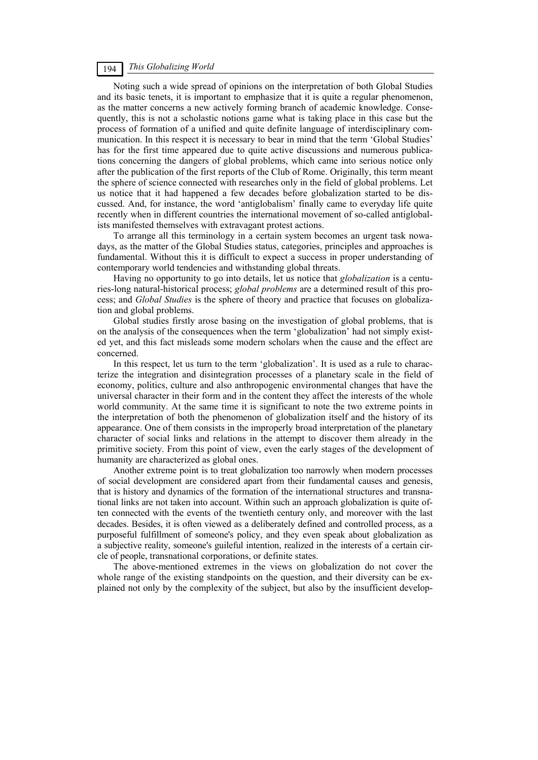Noting such a wide spread of opinions on the interpretation of both Global Studies and its basic tenets, it is important to emphasize that it is quite a regular phenomenon, as the matter concerns a new actively forming branch of academic knowledge. Consequently, this is not a scholastic notions game what is taking place in this case but the process of formation of a unified and quite definite language of interdisciplinary communication. In this respect it is necessary to bear in mind that the term 'Global Studies' has for the first time appeared due to quite active discussions and numerous publications concerning the dangers of global problems, which came into serious notice only after the publication of the first reports of the Club of Rome. Originally, this term meant the sphere of science connected with researches only in the field of global problems. Let us notice that it had happened a few decades before globalization started to be discussed. And, for instance, the word 'antiglobalism' finally came to everyday life quite recently when in different countries the international movement of so-called antiglobalists manifested themselves with extravagant protest actions.

To arrange all this terminology in a certain system becomes an urgent task nowadays, as the matter of the Global Studies status, categories, principles and approaches is fundamental. Without this it is difficult to expect a success in proper understanding of contemporary world tendencies and withstanding global threats.

Having no opportunity to go into details, let us notice that *globalization* is a centuries-long natural-historical process; *global problems* are a determined result of this process; and *Global Studies* is the sphere of theory and practice that focuses on globalization and global problems.

Global studies firstly arose basing on the investigation of global problems, that is on the analysis of the consequences when the term 'globalization' had not simply existed yet, and this fact misleads some modern scholars when the cause and the effect are concerned.

In this respect, let us turn to the term 'globalization'. It is used as a rule to characterize the integration and disintegration processes of a planetary scale in the field of economy, politics, culture and also anthropogenic environmental changes that have the universal character in their form and in the content they affect the interests of the whole world community. At the same time it is significant to note the two extreme points in the interpretation of both the phenomenon of globalization itself and the history of its appearance. One of them consists in the improperly broad interpretation of the planetary character of social links and relations in the attempt to discover them already in the primitive society. From this point of view, even the early stages of the development of humanity are characterized as global ones.

Another extreme point is to treat globalization too narrowly when modern processes of social development are considered apart from their fundamental causes and genesis, that is history and dynamics of the formation of the international structures and transnational links are not taken into account. Within such an approach globalization is quite often connected with the events of the twentieth century only, and moreover with the last decades. Besides, it is often viewed as a deliberately defined and controlled process, as a purposeful fulfillment of someone's policy, and they even speak about globalization as a subjective reality, someone's guileful intention, realized in the interests of a certain circle of people, transnational corporations, or definite states.

The above-mentioned extremes in the views on globalization do not cover the whole range of the existing standpoints on the question, and their diversity can be explained not only by the complexity of the subject, but also by the insufficient develop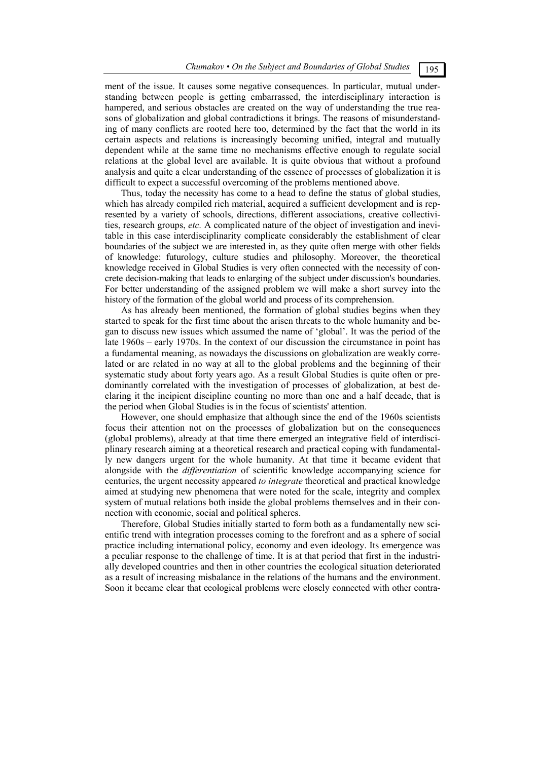ment of the issue. It causes some negative consequences. In particular, mutual understanding between people is getting embarrassed, the interdisciplinary interaction is hampered, and serious obstacles are created on the way of understanding the true reasons of globalization and global contradictions it brings. The reasons of misunderstanding of many conflicts are rooted here too, determined by the fact that the world in its certain aspects and relations is increasingly becoming unified, integral and mutually dependent while at the same time no mechanisms effective enough to regulate social relations at the global level are available. It is quite obvious that without a profound analysis and quite a clear understanding of the essence of processes of globalization it is difficult to expect a successful overcoming of the problems mentioned above.

Thus, today the necessity has come to a head to define the status of global studies, which has already compiled rich material, acquired a sufficient development and is represented by a variety of schools, directions, different associations, creative collectivities, research groups, *etc.* A complicated nature of the object of investigation and inevitable in this case interdisciplinarity complicate considerably the establishment of clear boundaries of the subject we are interested in, as they quite often merge with other fields of knowledge: futurology, culture studies and philosophy. Moreover, the theoretical knowledge received in Global Studies is very often connected with the necessity of concrete decision-making that leads to enlarging of the subject under discussion's boundaries. For better understanding of the assigned problem we will make a short survey into the history of the formation of the global world and process of its comprehension.

As has already been mentioned, the formation of global studies begins when they started to speak for the first time about the arisen threats to the whole humanity and began to discuss new issues which assumed the name of 'global'. It was the period of the late 1960s – early 1970s. In the context of our discussion the circumstance in point has a fundamental meaning, as nowadays the discussions on globalization are weakly correlated or are related in no way at all to the global problems and the beginning of their systematic study about forty years ago. As a result Global Studies is quite often or predominantly correlated with the investigation of processes of globalization, at best declaring it the incipient discipline counting no more than one and a half decade, that is the period when Global Studies is in the focus of scientists' attention.

However, one should emphasize that although since the end of the 1960s scientists focus their attention not on the processes of globalization but on the consequences (global problems), already at that time there emerged an integrative field of interdisciplinary research aiming at a theoretical research and practical coping with fundamentally new dangers urgent for the whole humanity. At that time it became evident that alongside with the *differentiation* of scientific knowledge accompanying science for centuries, the urgent necessity appeared *to integrate* theoretical and practical knowledge aimed at studying new phenomena that were noted for the scale, integrity and complex system of mutual relations both inside the global problems themselves and in their connection with economic, social and political spheres.

Therefore, Global Studies initially started to form both as a fundamentally new scientific trend with integration processes coming to the forefront and as a sphere of social practice including international policy, economy and even ideology. Its emergence was a peculiar response to the challenge of time. It is at that period that first in the industrially developed countries and then in other countries the ecological situation deteriorated as a result of increasing misbalance in the relations of the humans and the environment. Soon it became clear that ecological problems were closely connected with other contra-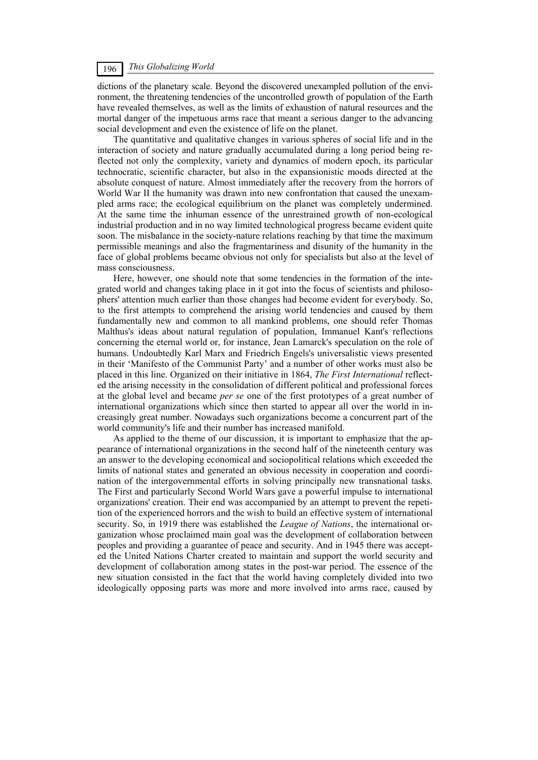dictions of the planetary scale. Beyond the discovered unexampled pollution of the environment, the threatening tendencies of the uncontrolled growth of population of the Earth have revealed themselves, as well as the limits of exhaustion of natural resources and the mortal danger of the impetuous arms race that meant a serious danger to the advancing social development and even the existence of life on the planet.

The quantitative and qualitative changes in various spheres of social life and in the interaction of society and nature gradually accumulated during a long period being reflected not only the complexity, variety and dynamics of modern epoch, its particular technocratic, scientific character, but also in the expansionistic moods directed at the absolute conquest of nature. Almost immediately after the recovery from the horrors of World War II the humanity was drawn into new confrontation that caused the unexampled arms race; the ecological equilibrium on the planet was completely undermined. At the same time the inhuman essence of the unrestrained growth of non-ecological industrial production and in no way limited technological progress became evident quite soon. The misbalance in the society-nature relations reaching by that time the maximum permissible meanings and also the fragmentariness and disunity of the humanity in the face of global problems became obvious not only for specialists but also at the level of mass consciousness.

Here, however, one should note that some tendencies in the formation of the integrated world and changes taking place in it got into the focus of scientists and philosophers' attention much earlier than those changes had become evident for everybody. So, to the first attempts to comprehend the arising world tendencies and caused by them fundamentally new and common to all mankind problems, one should refer Thomas Malthus's ideas about natural regulation of population, Immanuel Kant's reflections concerning the eternal world or, for instance, Jean Lamarck's speculation on the role of humans. Undoubtedly Karl Marx and Friedrich Engels's universalistic views presented in their 'Manifesto of the Communist Party' and a number of other works must also be placed in this line. Organized on their initiative in 1864, *The First International* reflected the arising necessity in the consolidation of different political and professional forces at the global level and became *per se* one of the first prototypes of a great number of international organizations which since then started to appear all over the world in increasingly great number. Nowadays such organizations become a concurrent part of the world community's life and their number has increased manifold.

As applied to the theme of our discussion, it is important to emphasize that the appearance of international organizations in the second half of the nineteenth century was an answer to the developing economical and sociopolitical relations which exceeded the limits of national states and generated an obvious necessity in cooperation and coordination of the intergovernmental efforts in solving principally new transnational tasks. The First and particularly Second World Wars gave a powerful impulse to international organizations' creation. Their end was accompanied by an attempt to prevent the repetition of the experienced horrors and the wish to build an effective system of international security. So, in 1919 there was established the *League of Nations*, the international organization whose proclaimed main goal was the development of collaboration between peoples and providing a guarantee of peace and security. And in 1945 there was accepted the United Nations Charter created to maintain and support the world security and development of collaboration among states in the post-war period. The essence of the new situation consisted in the fact that the world having completely divided into two ideologically opposing parts was more and more involved into arms race, caused by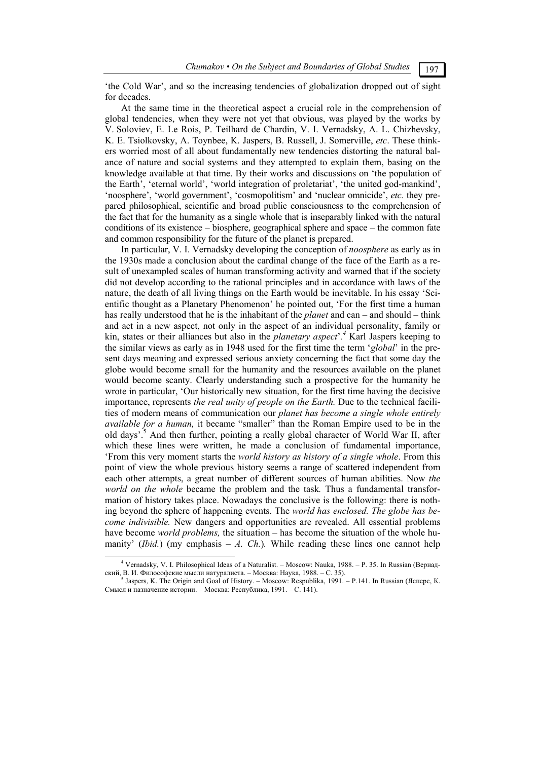'the Cold War', and so the increasing tendencies of globalization dropped out of sight for decades.

At the same time in the theoretical aspect a crucial role in the comprehension of global tendencies, when they were not yet that obvious, was played by the works by V. Soloviev, E. Le Rois, P. Teilhard de Chardin, V. I. Vernadsky, A. L. Chizhevsky, K. E. Tsiolkovsky, A. Toynbee, K. Jaspers, B. Russell, J. Somerville, *etc*. These thinkers worried most of all about fundamentally new tendencies distorting the natural balance of nature and social systems and they attempted to explain them, basing on the knowledge available at that time. By their works and discussions on 'the population of the Earth', 'eternal world', 'world integration of proletariat', 'the united god-mankind', 'noosphere', 'world government', 'cosmopolitism' and 'nuclear omnicide', *etc.* they prepared philosophical, scientific and broad public consciousness to the comprehension of the fact that for the humanity as a single whole that is inseparably linked with the natural conditions of its existence – biosphere, geographical sphere and space – the common fate and common responsibility for the future of the planet is prepared.

In particular, V. I. Vernadsky developing the conception of *noosphere* as early as in the 1930s made a conclusion about the cardinal change of the face of the Earth as a result of unexampled scales of human transforming activity and warned that if the society did not develop according to the rational principles and in accordance with laws of the nature, the death of all living things on the Earth would be inevitable. In his essay 'Scientific thought as a Planetary Phenomenon' he pointed out, 'For the first time a human has really understood that he is the inhabitant of the *planet* and can – and should – think and act in a new aspect, not only in the aspect of an individual personality, family or kin, states or their alliances but also in the *planetary aspect*'*. 4* Karl Jaspers keeping to the similar views as early as in 1948 used for the first time the term '*global*' in the present days meaning and expressed serious anxiety concerning the fact that some day the globe would become small for the humanity and the resources available on the planet would become scanty. Clearly understanding such a prospective for the humanity he wrote in particular, 'Our historically new situation, for the first time having the decisive importance, represents *the real unity of people on the Earth.* Due to the technical facilities of modern means of communication our *planet has become a single whole entirely available for a human,* it became "smaller" than the Roman Empire used to be in the old days<sup>'.5</sup> And then further, pointing a really global character of World War II, after which these lines were written, he made a conclusion of fundamental importance, 'From this very moment starts the *world history as history of a single whole*. From this point of view the whole previous history seems a range of scattered independent from each other attempts, a great number of different sources of human abilities. Now *the world on the whole* became the problem and the task*.* Thus a fundamental transformation of history takes place. Nowadays the conclusive is the following: there is nothing beyond the sphere of happening events. The *world has enclosed. The globe has become indivisible.* New dangers and opportunities are revealed. All essential problems have become *world problems,* the situation – has become the situation of the whole humanity' *(Ibid.)* (my emphasis  $-A$ . *Ch.)*. While reading these lines one cannot help

 $\overline{4}$  Vernadsky, V. I. Philosophical Ideas of a Naturalist. – Мoscow: Nauka, 1988. – P. 35. In Russian (Вернадский, В. И. Философские мысли натуралиста. – Москва: Наука, 1988. – С. 35).

Jaspers, K. The Origin and Goal of History. – Мoscow: Respublika, 1991. – P.141. In Russian (Ясперс, К. Смысл и назначение истории. – Москва: Республика, 1991. – C. 141).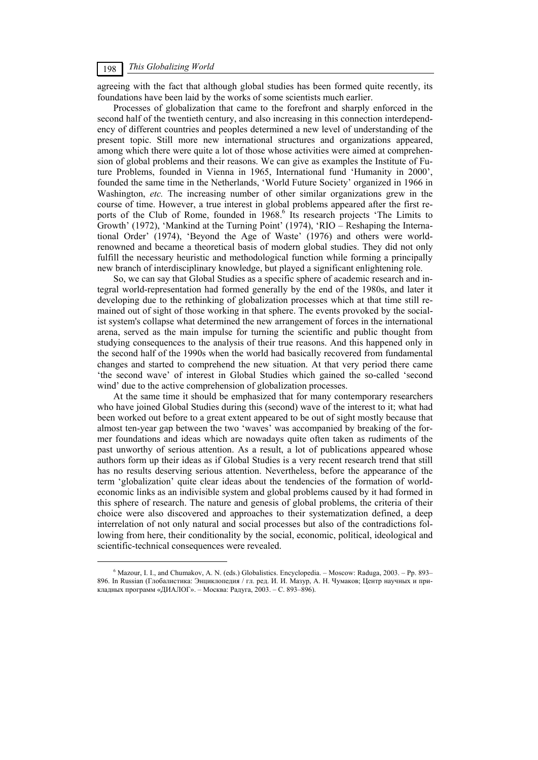agreeing with the fact that although global studies has been formed quite recently, its foundations have been laid by the works of some scientists much earlier.

Processes of globalization that came to the forefront and sharply enforced in the second half of the twentieth century, and also increasing in this connection interdependency of different countries and peoples determined a new level of understanding of the present topic. Still more new international structures and organizations appeared, among which there were quite a lot of those whose activities were aimed at comprehension of global problems and their reasons. We can give as examples the Institute of Future Problems, founded in Vienna in 1965, International fund 'Humanity in 2000', founded the same time in the Netherlands, 'World Future Society' organized in 1966 in Washington, *etc.* The increasing number of other similar organizations grew in the course of time. However, a true interest in global problems appeared after the first reports of the Club of Rome, founded in 1968.<sup>6</sup> Its research projects 'The Limits to Growth' (1972), 'Mankind at the Turning Point' (1974), 'RIO – Reshaping the International Order' (1974), 'Beyond the Age of Waste' (1976) and others were worldrenowned and became a theoretical basis of modern global studies. They did not only fulfill the necessary heuristic and methodological function while forming a principally new branch of interdisciplinary knowledge, but played a significant enlightening role.

So, we can say that Global Studies as a specific sphere of academic research and integral world-representation had formed generally by the end of the 1980s, and later it developing due to the rethinking of globalization processes which at that time still remained out of sight of those working in that sphere. The events provoked by the socialist system's collapse what determined the new arrangement of forces in the international arena, served as the main impulse for turning the scientific and public thought from studying consequences to the analysis of their true reasons. And this happened only in the second half of the 1990s when the world had basically recovered from fundamental changes and started to comprehend the new situation. At that very period there came 'the second wave' of interest in Global Studies which gained the so-called 'second wind' due to the active comprehension of globalization processes.

At the same time it should be emphasized that for many contemporary researchers who have joined Global Studies during this (second) wave of the interest to it; what had been worked out before to a great extent appeared to be out of sight mostly because that almost ten-year gap between the two 'waves' was accompanied by breaking of the former foundations and ideas which are nowadays quite often taken as rudiments of the past unworthy of serious attention. As a result, a lot of publications appeared whose authors form up their ideas as if Global Studies is a very recent research trend that still has no results deserving serious attention. Nevertheless, before the appearance of the term 'globalization' quite clear ideas about the tendencies of the formation of worldeconomic links as an indivisible system and global problems caused by it had formed in this sphere of research. The nature and genesis of global problems, the criteria of their choice were also discovered and approaches to their systematization defined, a deep interrelation of not only natural and social processes but also of the contradictions following from here, their conditionality by the social, economic, political, ideological and scientific-technical consequences were revealed.

 <sup>6</sup>  $6$  Mazour, I. I., and Chumakov, A. N. (eds.) Globalistics. Encyclopedia. – Moscow: Raduga, 2003. – Pp. 893– 896. In Russian (Глобалистика: Энциклопедия / гл. ред. И. И. Мазур, А. Н. Чумаков; Центр научных и прикладных программ «ДИАЛОГ». – Москва: Радуга, 2003. – C. 893–896).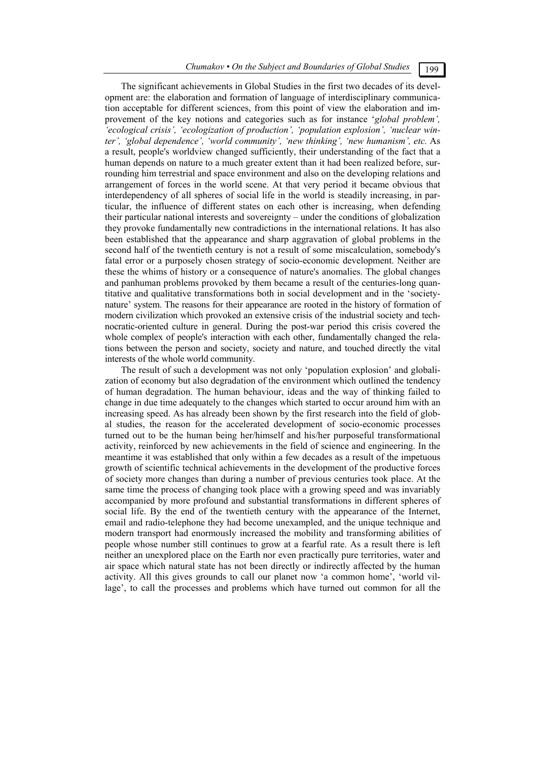The significant achievements in Global Studies in the first two decades of its development are: the elaboration and formation of language of interdisciplinary communication acceptable for different sciences, from this point of view the elaboration and improvement of the key notions and categories such as for instance '*global problem', 'ecological crisis', 'ecologization of production', 'population explosion', 'nuclear winter', 'global dependence', 'world community', 'new thinking', 'new humanism', etc.* As a result, people's worldview changed sufficiently, their understanding of the fact that a human depends on nature to a much greater extent than it had been realized before, surrounding him terrestrial and space environment and also on the developing relations and arrangement of forces in the world scene. At that very period it became obvious that interdependency of all spheres of social life in the world is steadily increasing, in particular, the influence of different states on each other is increasing, when defending their particular national interests and sovereignty – under the conditions of globalization they provoke fundamentally new contradictions in the international relations. It has also been established that the appearance and sharp aggravation of global problems in the second half of the twentieth century is not a result of some miscalculation, somebody's fatal error or a purposely chosen strategy of socio-economic development. Neither are these the whims of history or a consequence of nature's anomalies. The global changes and panhuman problems provoked by them became a result of the centuries-long quantitative and qualitative transformations both in social development and in the 'societynature' system. The reasons for their appearance are rooted in the history of formation of modern civilization which provoked an extensive crisis of the industrial society and technocratic-oriented culture in general. During the post-war period this crisis covered the whole complex of people's interaction with each other, fundamentally changed the relations between the person and society, society and nature, and touched directly the vital interests of the whole world community.

The result of such a development was not only 'population explosion' and globalization of economy but also degradation of the environment which outlined the tendency of human degradation. The human behaviour, ideas and the way of thinking failed to change in due time adequately to the changes which started to occur around him with an increasing speed. As has already been shown by the first research into the field of global studies, the reason for the accelerated development of socio-economic processes turned out to be the human being her/himself and his/her purposeful transformational activity, reinforced by new achievements in the field of science and engineering. In the meantime it was established that only within a few decades as a result of the impetuous growth of scientific technical achievements in the development of the productive forces of society more changes than during a number of previous centuries took place. At the same time the process of changing took place with a growing speed and was invariably accompanied by more profound and substantial transformations in different spheres of social life. By the end of the twentieth century with the appearance of the Internet, email and radio-telephone they had become unexampled, and the unique technique and modern transport had enormously increased the mobility and transforming abilities of people whose number still continues to grow at a fearful rate. As a result there is left neither an unexplored place on the Earth nor even practically pure territories, water and air space which natural state has not been directly or indirectly affected by the human activity. All this gives grounds to call our planet now 'a common home', 'world village', to call the processes and problems which have turned out common for all the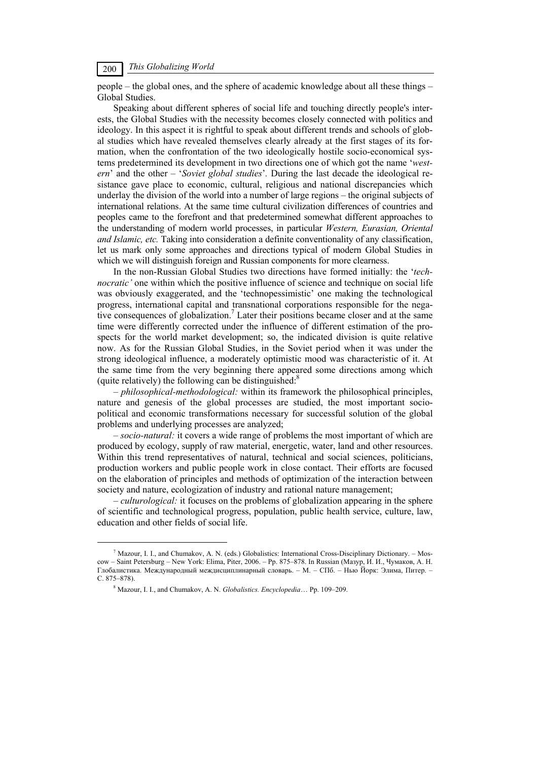people – the global ones, and the sphere of academic knowledge about all these things – Global Studies.

Speaking about different spheres of social life and touching directly people's interests, the Global Studies with the necessity becomes closely connected with politics and ideology. In this aspect it is rightful to speak about different trends and schools of global studies which have revealed themselves clearly already at the first stages of its formation, when the confrontation of the two ideologically hostile socio-economical systems predetermined its development in two directions one of which got the name '*western*' and the other – '*Soviet global studies*'*.* During the last decade the ideological resistance gave place to economic, cultural, religious and national discrepancies which underlay the division of the world into a number of large regions – the original subjects of international relations. At the same time cultural civilization differences of countries and peoples came to the forefront and that predetermined somewhat different approaches to the understanding of modern world processes, in particular *Western, Eurasian, Oriental and Islamic, etc.* Taking into consideration a definite conventionality of any classification, let us mark only some approaches and directions typical of modern Global Studies in which we will distinguish foreign and Russian components for more clearness.

In the non-Russian Global Studies two directions have formed initially: the '*technocratic'* one within which the positive influence of science and technique on social life was obviously exaggerated, and the 'technopessimistic' one making the technological progress, international capital and transnational corporations responsible for the negative consequences of globalization.<sup>7</sup> Later their positions became closer and at the same time were differently corrected under the influence of different estimation of the prospects for the world market development; so, the indicated division is quite relative now. As for the Russian Global Studies, in the Soviet period when it was under the strong ideological influence, a moderately optimistic mood was characteristic of it. At the same time from the very beginning there appeared some directions among which (quite relatively) the following can be distinguished: $8$ 

*– philosophical-methodological:* within its framework the philosophical principles, nature and genesis of the global processes are studied, the most important sociopolitical and economic transformations necessary for successful solution of the global problems and underlying processes are analyzed;

– *socio-natural:* it covers a wide range of problems the most important of which are produced by ecology, supply of raw material, energetic, water, land and other resources. Within this trend representatives of natural, technical and social sciences, politicians, production workers and public people work in close contact. Their efforts are focused on the elaboration of principles and methods of optimization of the interaction between society and nature, ecologization of industry and rational nature management;

– *culturological:* it focuses on the problems of globalization appearing in the sphere of scientific and technological progress, population, public health service, culture, law, education and other fields of social life.

 $\overline{\phantom{a}}$  $^{\prime}$  Mazour, I. I., and Chumakov, A. N. (eds.) Globalistics: International Cross-Disciplinary Dictionary. – Moscow – Saint Petersburg – New York: Elima, Piter, 2006. – Pp. 875–878. In Russian (Мазур, И. И., Чумаков, А. Н. Глобалистика. Международный междисциплинарный словарь. – М. – СПб. – Нью Йорк: Элима, Питер. – C. 875–878).

<sup>8</sup> Mazour, I. I., and Chumakov, А. N. *Globalistics. Encyclopedia*… Pp. 109–209.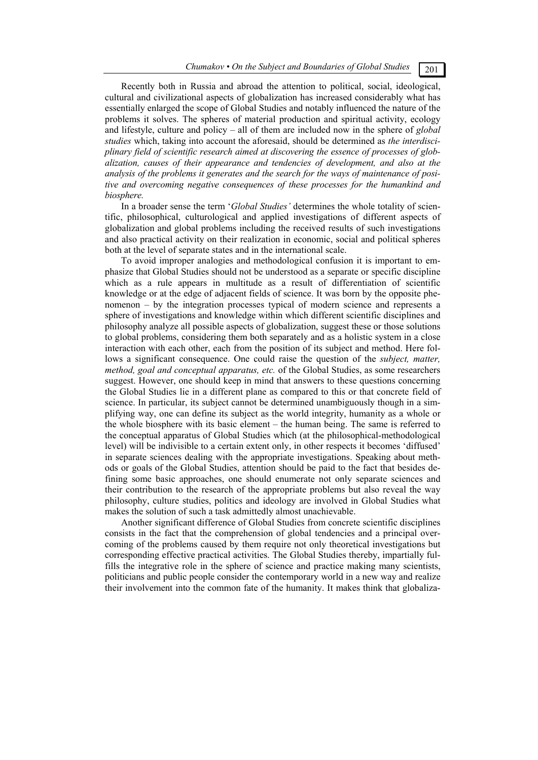Recently both in Russia and abroad the attention to political, social, ideological, cultural and civilizational aspects of globalization has increased considerably what has essentially enlarged the scope of Global Studies and notably influenced the nature of the problems it solves. The spheres of material production and spiritual activity, ecology and lifestyle, culture and policy – all of them are included now in the sphere of *global studies* which, taking into account the aforesaid, should be determined as *the interdisciplinary field of scientific research aimed at discovering the essence of processes of globalization, causes of their appearance and tendencies of development, and also at the analysis of the problems it generates and the search for the ways of maintenance of positive and overcoming negative consequences of these processes for the humankind and biosphere.* 

In a broader sense the term '*Global Studies'* determines the whole totality of scientific, philosophical, culturological and applied investigations of different aspects of globalization and global problems including the received results of such investigations and also practical activity on their realization in economic, social and political spheres both at the level of separate states and in the international scale.

To avoid improper analogies and methodological confusion it is important to emphasize that Global Studies should not be understood as a separate or specific discipline which as a rule appears in multitude as a result of differentiation of scientific knowledge or at the edge of adjacent fields of science. It was born by the opposite phenomenon – by the integration processes typical of modern science and represents a sphere of investigations and knowledge within which different scientific disciplines and philosophy analyze all possible aspects of globalization, suggest these or those solutions to global problems, considering them both separately and as a holistic system in a close interaction with each other, each from the position of its subject and method. Here follows a significant consequence. One could raise the question of the *subject, matter, method, goal and conceptual apparatus, etc.* of the Global Studies, as some researchers suggest. However, one should keep in mind that answers to these questions concerning the Global Studies lie in a different plane as compared to this or that concrete field of science. In particular, its subject cannot be determined unambiguously though in a simplifying way, one can define its subject as the world integrity, humanity as a whole or the whole biosphere with its basic element – the human being. The same is referred to the conceptual apparatus of Global Studies which (at the philosophical-methodological level) will be indivisible to a certain extent only, in other respects it becomes 'diffused' in separate sciences dealing with the appropriate investigations. Speaking about methods or goals of the Global Studies, attention should be paid to the fact that besides defining some basic approaches, one should enumerate not only separate sciences and their contribution to the research of the appropriate problems but also reveal the way philosophy, culture studies, politics and ideology are involved in Global Studies what makes the solution of such a task admittedly almost unachievable.

Another significant difference of Global Studies from concrete scientific disciplines consists in the fact that the comprehension of global tendencies and a principal overcoming of the problems caused by them require not only theoretical investigations but corresponding effective practical activities. The Global Studies thereby, impartially fulfills the integrative role in the sphere of science and practice making many scientists, politicians and public people consider the contemporary world in a new way and realize their involvement into the common fate of the humanity. It makes think that globaliza-